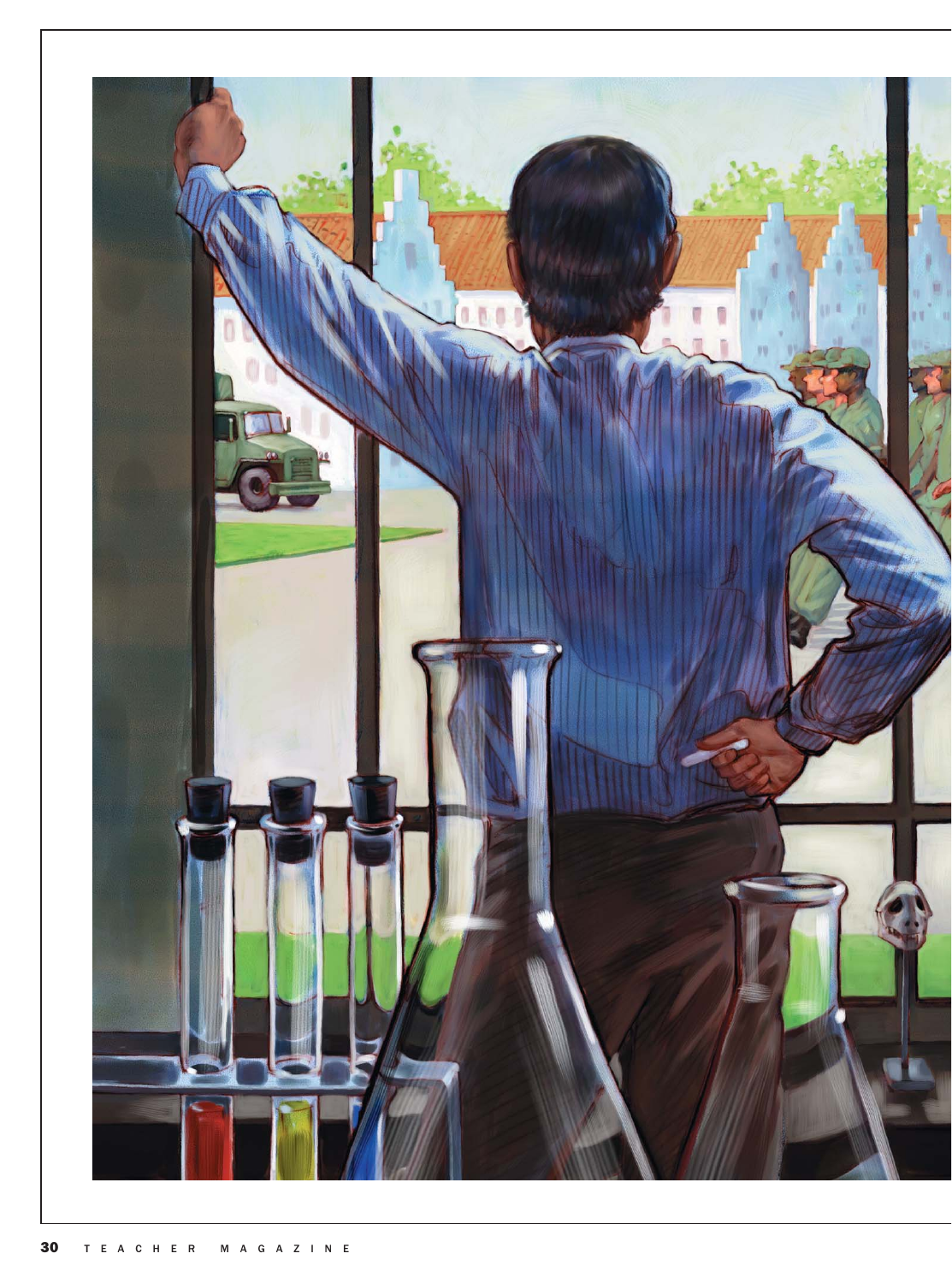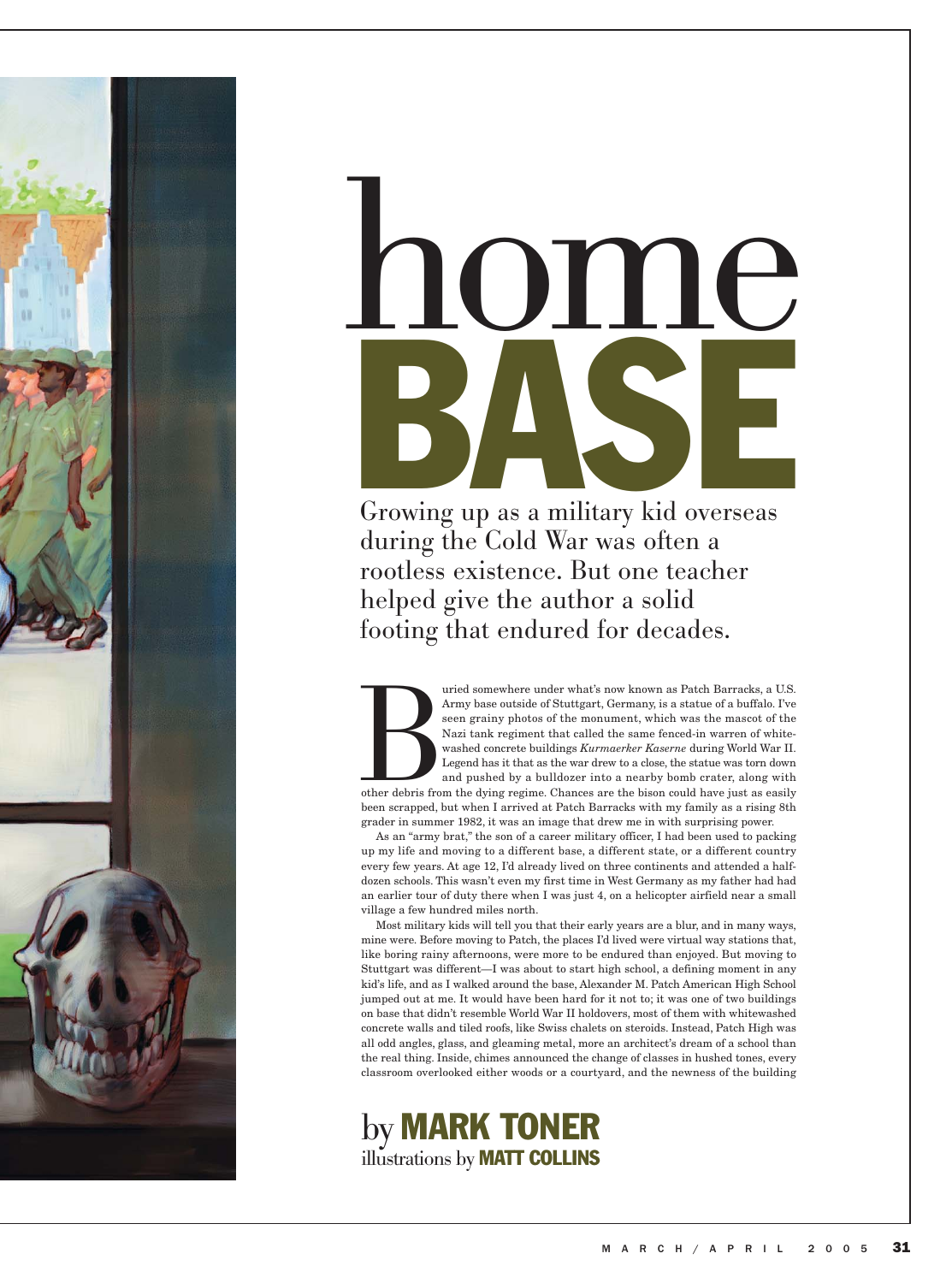## home Growing up as a military kid overseas

during the Cold War was often a rootless existence. But one teacher helped give the author a solid footing that endured for decades.

> uried somewhere under what's now known as Patch Barracks, a U.S. Army base outside of Stuttgart, Germany, is a statue of a buffalo. I've seen grainy photos of the monument, which was the mascot of the Nazi tank regiment that called the same fenced-in warren of whitewashed concrete buildings *Kurmaerker Kaserne* during World War II. Legend has it that as the war drew to a close, the statue was torn down and pushed by a bulldozer into a nearby bomb crater, along with

other debris from the dying regime. Chances are the bison could have just as easily been scrapped, but when I arrived at Patch Barracks with my family as a rising 8th grader in summer 1982, it was an image that drew me in with surprising power. other debris from

As an "army brat," the son of a career military officer, I had been used to packing up my life and moving to a different base, a different state, or a different country every few years. At age 12, I'd already lived on three continents and attended a halfdozen schools. This wasn't even my first time in West Germany as my father had had an earlier tour of duty there when I was just 4, on a helicopter airfield near a small village a few hundred miles north.

Most military kids will tell you that their early years are a blur, and in many ways, mine were. Before moving to Patch, the places I'd lived were virtual way stations that, like boring rainy afternoons, were more to be endured than enjoyed. But moving to Stuttgart was different—I was about to start high school, a defining moment in any kid's life, and as I walked around the base, Alexander M. Patch American High School jumped out at me. It would have been hard for it not to; it was one of two buildings on base that didn't resemble World War II holdovers, most of them with whitewashed concrete walls and tiled roofs, like Swiss chalets on steroids. Instead, Patch High was all odd angles, glass, and gleaming metal, more an architect's dream of a school than the real thing. Inside, chimes announced the change of classes in hushed tones, every classroom overlooked either woods or a courtyard, and the newness of the building

by MARK TONER illustrations by MATT COLLINS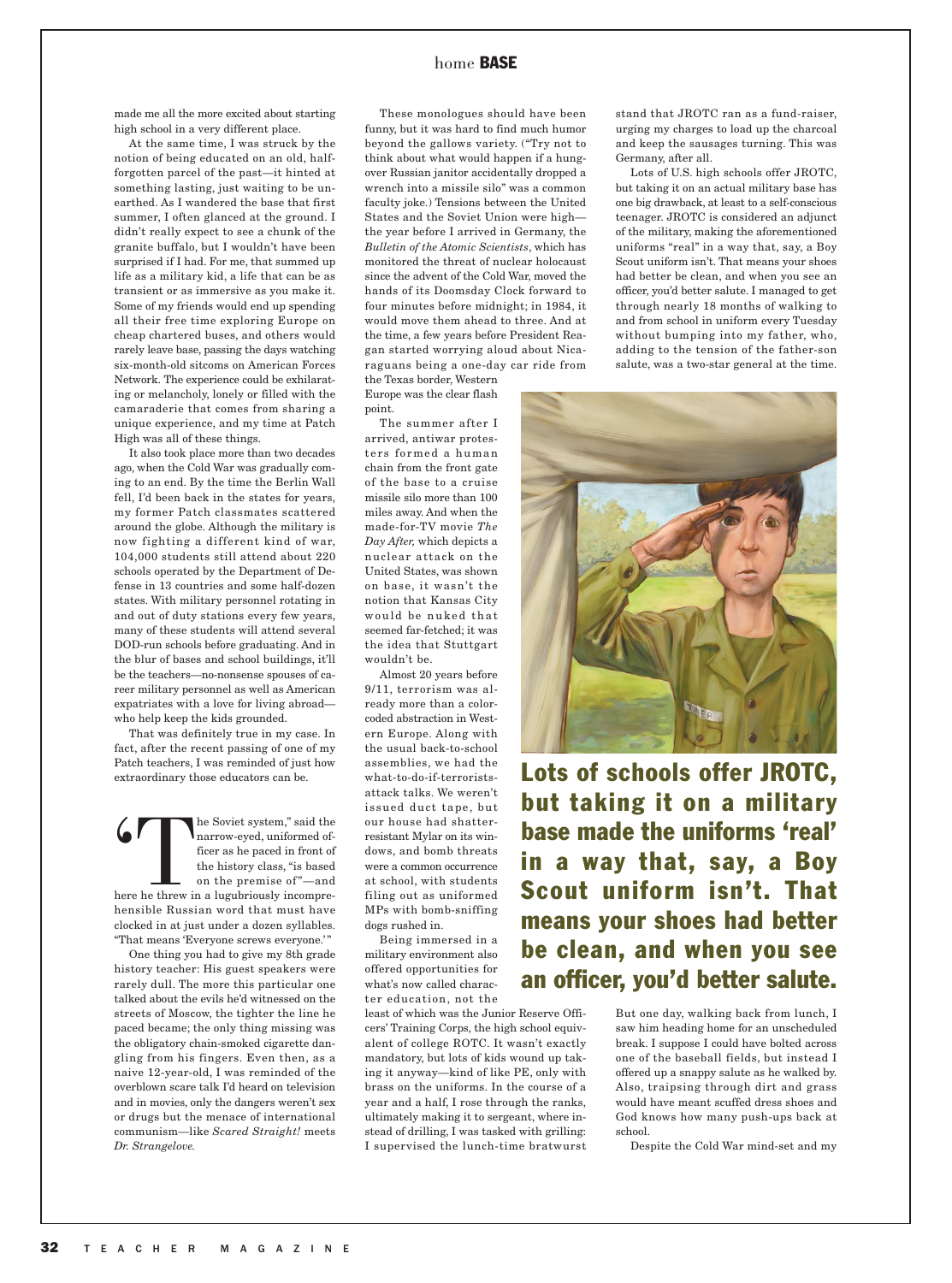made me all the more excited about starting high school in a very different place.

At the same time, I was struck by the notion of being educated on an old, halfforgotten parcel of the past—it hinted at something lasting, just waiting to be unearthed. As I wandered the base that first summer, I often glanced at the ground. I didn't really expect to see a chunk of the granite buffalo, but I wouldn't have been surprised if I had. For me, that summed up life as a military kid, a life that can be as transient or as immersive as you make it. Some of my friends would end up spending all their free time exploring Europe on cheap chartered buses, and others would rarely leave base, passing the days watching six-month-old sitcoms on American Forces Network. The experience could be exhilarating or melancholy, lonely or filled with the camaraderie that comes from sharing a unique experience, and my time at Patch High was all of these things.

It also took place more than two decades ago, when the Cold War was gradually coming to an end. By the time the Berlin Wall fell, I'd been back in the states for years, my former Patch classmates scattered around the globe. Although the military is now fighting a different kind of war, 104,000 students still attend about 220 schools operated by the Department of Defense in 13 countries and some half-dozen states. With military personnel rotating in and out of duty stations every few years, many of these students will attend several DOD-run schools before graduating. And in the blur of bases and school buildings, it'll be the teachers—no-nonsense spouses of career military personnel as well as American expatriates with a love for living abroad who help keep the kids grounded.

That was definitely true in my case. In fact, after the recent passing of one of my Patch teachers, I was reminded of just how extraordinary those educators can be.

the Soviet system," said the<br>
narrow-eyed, uniformed of-<br>
ficer as he paced in front of<br>
the history class, "is based<br>
on the premise of"—and<br>
here he threw in a lugubriously incompre-<br>
hensible Russian word that must have narrow-eyed, uniformed officer as he paced in front of the history class, "is based on the premise of"—and here he threw in a lugubriously incomprehensible Russian word that must have clocked in at just under a dozen syllables. "That means 'Everyone screws everyone.'"

One thing you had to give my 8th grade history teacher: His guest speakers were rarely dull. The more this particular one talked about the evils he'd witnessed on the streets of Moscow, the tighter the line he paced became; the only thing missing was the obligatory chain-smoked cigarette dangling from his fingers. Even then, as a naive 12-year-old, I was reminded of the overblown scare talk I'd heard on television and in movies, only the dangers weren't sex or drugs but the menace of international communism—like *Scared Straight!* meets *Dr. Strangelove.*

These monologues should have been funny, but it was hard to find much humor beyond the gallows variety. ("Try not to think about what would happen if a hungover Russian janitor accidentally dropped a wrench into a missile silo" was a common faculty joke.) Tensions between the United States and the Soviet Union were high the year before I arrived in Germany, the *Bulletin of the Atomic Scientists*, which has monitored the threat of nuclear holocaust since the advent of the Cold War, moved the hands of its Doomsday Clock forward to four minutes before midnight; in 1984, it would move them ahead to three. And at the time, a few years before President Reagan started worrying aloud about Nicaraguans being a one-day car ride from

the Texas border, Western Europe was the clear flash point.

The summer after I arrived, antiwar protesters formed a human chain from the front gate of the base to a cruise missile silo more than 100 miles away. And when the made-for-TV movie *The Day After,* which depicts a nuclear attack on the United States, was shown on base, it wasn't the notion that Kansas City would be nuked that seemed far-fetched; it was the idea that Stuttgart wouldn't be.

Almost 20 years before 9/11, terrorism was already more than a colorcoded abstraction in Western Europe. Along with the usual back-to-school assemblies, we had the what-to-do-if-terroristsattack talks. We weren't issued duct tape, but our house had shatterresistant Mylar on its windows, and bomb threats were a common occurrence at school, with students filing out as uniformed MPs with bomb-sniffing dogs rushed in.

Being immersed in a military environment also offered opportunities for what's now called character education, not the

least of which was the Junior Reserve Officers' Training Corps, the high school equivalent of college ROTC. It wasn't exactly mandatory, but lots of kids wound up taking it anyway—kind of like PE, only with brass on the uniforms. In the course of a year and a half, I rose through the ranks, ultimately making it to sergeant, where instead of drilling, I was tasked with grilling: I supervised the lunch-time bratwurst stand that JROTC ran as a fund-raiser, urging my charges to load up the charcoal and keep the sausages turning. This was Germany, after all.

Lots of U.S. high schools offer JROTC, but taking it on an actual military base has one big drawback, at least to a self-conscious teenager. JROTC is considered an adjunct of the military, making the aforementioned uniforms "real" in a way that, say, a Boy Scout uniform isn't. That means your shoes had better be clean, and when you see an officer, you'd better salute. I managed to get through nearly 18 months of walking to and from school in uniform every Tuesday without bumping into my father, who, adding to the tension of the father-son salute, was a two-star general at the time.



Lots of schools offer JROTC, but taking it on a military base made the uniforms 'real' in a way that, say, a Boy Scout uniform isn't. That means your shoes had better be clean, and when you see an officer, you'd better salute.

> But one day, walking back from lunch, I saw him heading home for an unscheduled break. I suppose I could have bolted across one of the baseball fields, but instead I offered up a snappy salute as he walked by. Also, traipsing through dirt and grass would have meant scuffed dress shoes and God knows how many push-ups back at school.

Despite the Cold War mind-set and my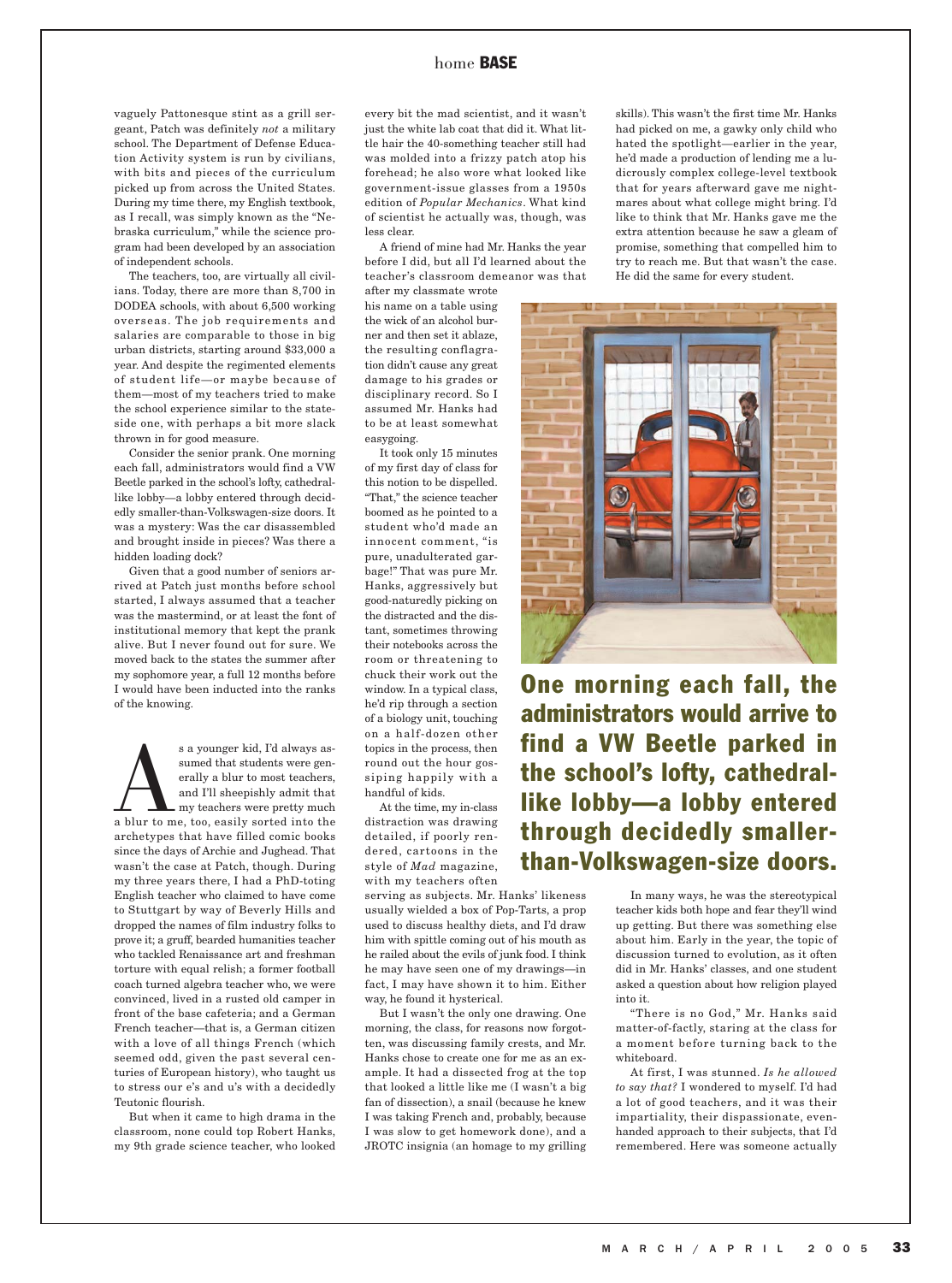vaguely Pattonesque stint as a grill sergeant, Patch was definitely *not* a military school. The Department of Defense Education Activity system is run by civilians, with bits and pieces of the curriculum picked up from across the United States. During my time there, my English textbook, as I recall, was simply known as the "Nebraska curriculum," while the science program had been developed by an association of independent schools.

The teachers, too, are virtually all civilians. Today, there are more than 8,700 in DODEA schools, with about 6,500 working overseas. The job requirements and salaries are comparable to those in big urban districts, starting around \$33,000 a year. And despite the regimented elements of student life—or maybe because of them—most of my teachers tried to make the school experience similar to the stateside one, with perhaps a bit more slack thrown in for good measure.

Consider the senior prank. One morning each fall, administrators would find a VW Beetle parked in the school's lofty, cathedrallike lobby—a lobby entered through decidedly smaller-than-Volkswagen-size doors. It was a mystery: Was the car disassembled and brought inside in pieces? Was there a hidden loading dock?

Given that a good number of seniors arrived at Patch just months before school started, I always assumed that a teacher was the mastermind, or at least the font of institutional memory that kept the prank alive. But I never found out for sure. We moved back to the states the summer after my sophomore year, a full 12 months before I would have been inducted into the ranks of the knowing.

s a younger kid, I'd always as-<br>sumed that students were generally a blur to most teachers,<br>and I'll sheepishly admit that<br>my teachers were pretty much<br>a blur to me, too, easily sorted into the<br>archetynes that have filled sumed that students were generally a blur to most teachers, and I'll sheepishly admit that my teachers were pretty much a blur to me, too, easily sorted into the archetypes that have filled comic books since the days of Archie and Jughead. That wasn't the case at Patch, though. During my three years there, I had a PhD-toting English teacher who claimed to have come to Stuttgart by way of Beverly Hills and dropped the names of film industry folks to prove it; a gruff, bearded humanities teacher who tackled Renaissance art and freshman torture with equal relish; a former football coach turned algebra teacher who, we were convinced, lived in a rusted old camper in front of the base cafeteria; and a German French teacher—that is, a German citizen with a love of all things French (which seemed odd, given the past several centuries of European history), who taught us to stress our e's and u's with a decidedly Teutonic flourish.

But when it came to high drama in the classroom, none could top Robert Hanks, my 9th grade science teacher, who looked

every bit the mad scientist, and it wasn't just the white lab coat that did it. What little hair the 40-something teacher still had was molded into a frizzy patch atop his forehead; he also wore what looked like government-issue glasses from a 1950s edition of *Popular Mechanics*. What kind of scientist he actually was, though, was less clear.

A friend of mine had Mr. Hanks the year before I did, but all I'd learned about the teacher's classroom demeanor was that

after my classmate wrote his name on a table using the wick of an alcohol burner and then set it ablaze, the resulting conflagration didn't cause any great damage to his grades or disciplinary record. So I assumed Mr. Hanks had to be at least somewhat easygoing.

It took only 15 minutes of my first day of class for this notion to be dispelled. "That," the science teacher boomed as he pointed to a student who'd made an innocent comment, "is pure, unadulterated garbage!" That was pure Mr. Hanks, aggressively but good-naturedly picking on the distracted and the distant, sometimes throwing their notebooks across the room or threatening to chuck their work out the window. In a typical class, he'd rip through a section of a biology unit, touching on a half-dozen other topics in the process, then round out the hour gossiping happily with a handful of kids.

At the time, my in-class distraction was drawing detailed, if poorly rendered, cartoons in the style of *Mad* magazine, with my teachers often

serving as subjects. Mr. Hanks' likeness usually wielded a box of Pop-Tarts, a prop used to discuss healthy diets, and I'd draw him with spittle coming out of his mouth as he railed about the evils of junk food. I think he may have seen one of my drawings—in fact, I may have shown it to him. Either way, he found it hysterical.

But I wasn't the only one drawing. One morning, the class, for reasons now forgotten, was discussing family crests, and Mr. Hanks chose to create one for me as an example. It had a dissected frog at the top that looked a little like me (I wasn't a big fan of dissection), a snail (because he knew I was taking French and, probably, because I was slow to get homework done), and a JROTC insignia (an homage to my grilling

skills). This wasn't the first time Mr. Hanks had picked on me, a gawky only child who hated the spotlight—earlier in the year, he'd made a production of lending me a ludicrously complex college-level textbook that for years afterward gave me nightmares about what college might bring. I'd like to think that Mr. Hanks gave me the extra attention because he saw a gleam of promise, something that compelled him to try to reach me. But that wasn't the case. He did the same for every student.



One morning each fall, the administrators would arrive to find a VW Beetle parked in the school's lofty, cathedrallike lobby—a lobby entered through decidedly smallerthan-Volkswagen-size doors.

> In many ways, he was the stereotypical teacher kids both hope and fear they'll wind up getting. But there was something else about him. Early in the year, the topic of discussion turned to evolution, as it often did in Mr. Hanks' classes, and one student asked a question about how religion played into it.

> "There is no God," Mr. Hanks said matter-of-factly, staring at the class for a moment before turning back to the whiteboard.

> At first, I was stunned. *Is he allowed to say that?* I wondered to myself. I'd had a lot of good teachers, and it was their impartiality, their dispassionate, evenhanded approach to their subjects, that I'd remembered. Here was someone actually